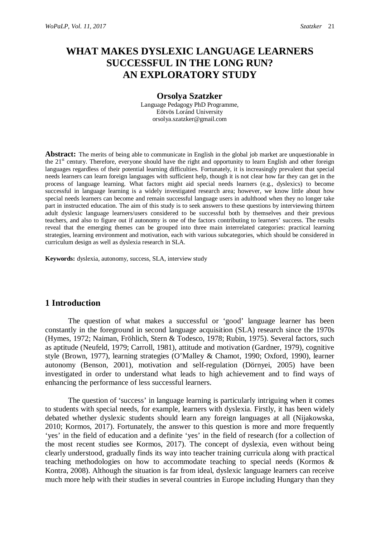# **WHAT MAKES DYSLEXIC LANGUAGE LEARNERS SUCCESSFUL IN THE LONG RUN? AN EXPLORATORY STUDY**

#### **Orsolya Szatzker**

Language Pedagogy PhD Programme, Eötvös Loránd University orsolya.szatzker@gmail.com

**Abstract:** The merits of being able to communicate in English in the global job market are unquestionable in the 21<sup>st</sup> century. Therefore, everyone should have the right and opportunity to learn English and other foreign languages regardless of their potential learning difficulties. Fortunately, it is increasingly prevalent that special needs learners can learn foreign languages with sufficient help, though it is not clear how far they can get in the process of language learning. What factors might aid special needs learners (e.g., dyslexics) to become successful in language learning is a widely investigated research area; however, we know little about how special needs learners can become and remain successful language users in adulthood when they no longer take part in instructed education. The aim of this study is to seek answers to these questions by interviewing thirteen adult dyslexic language learners/users considered to be successful both by themselves and their previous teachers, and also to figure out if autonomy is one of the factors contributing to learners' success. The results reveal that the emerging themes can be grouped into three main interrelated categories: practical learning strategies, learning environment and motivation, each with various subcategories, which should be considered in curriculum design as well as dyslexia research in SLA.

**Keywords:** dyslexia, autonomy, success, SLA, interview study

### **1 Introduction**

The question of what makes a successful or 'good' language learner has been constantly in the foreground in second language acquisition (SLA) research since the 1970s (Hymes, 1972; Naiman, Fröhlich, Stern & Todesco, 1978; Rubin, 1975). Several factors, such as aptitude (Neufeld, 1979; Carroll, 1981), attitude and motivation (Gardner, 1979), cognitive style (Brown, 1977), learning strategies (O'Malley & Chamot, 1990; Oxford, 1990), learner autonomy (Benson, 2001), motivation and self-regulation (Dörnyei, 2005) have been investigated in order to understand what leads to high achievement and to find ways of enhancing the performance of less successful learners.

The question of 'success' in language learning is particularly intriguing when it comes to students with special needs, for example, learners with dyslexia. Firstly, it has been widely debated whether dyslexic students should learn any foreign languages at all (Nijakowska, 2010; Kormos, 2017). Fortunately, the answer to this question is more and more frequently 'yes' in the field of education and a definite 'yes' in the field of research (for a collection of the most recent studies see Kormos, 2017). The concept of dyslexia, even without being clearly understood, gradually finds its way into teacher training curricula along with practical teaching methodologies on how to accommodate teaching to special needs (Kormos & Kontra, 2008). Although the situation is far from ideal, dyslexic language learners can receive much more help with their studies in several countries in Europe including Hungary than they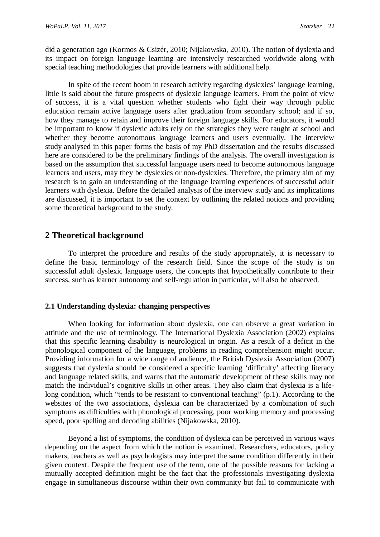did a generation ago (Kormos & Csizér, 2010; Nijakowska, 2010). The notion of dyslexia and its impact on foreign language learning are intensively researched worldwide along with special teaching methodologies that provide learners with additional help.

In spite of the recent boom in research activity regarding dyslexics' language learning, little is said about the future prospects of dyslexic language learners. From the point of view of success, it is a vital question whether students who fight their way through public education remain active language users after graduation from secondary school; and if so, how they manage to retain and improve their foreign language skills. For educators, it would be important to know if dyslexic adults rely on the strategies they were taught at school and whether they become autonomous language learners and users eventually. The interview study analysed in this paper forms the basis of my PhD dissertation and the results discussed here are considered to be the preliminary findings of the analysis. The overall investigation is based on the assumption that successful language users need to become autonomous language learners and users, may they be dyslexics or non-dyslexics. Therefore, the primary aim of my research is to gain an understanding of the language learning experiences of successful adult learners with dyslexia. Before the detailed analysis of the interview study and its implications are discussed, it is important to set the context by outlining the related notions and providing some theoretical background to the study.

## **2 Theoretical background**

To interpret the procedure and results of the study appropriately, it is necessary to define the basic terminology of the research field. Since the scope of the study is on successful adult dyslexic language users, the concepts that hypothetically contribute to their success, such as learner autonomy and self-regulation in particular, will also be observed.

#### **2.1 Understanding dyslexia: changing perspectives**

When looking for information about dyslexia, one can observe a great variation in attitude and the use of terminology. The International Dyslexia Association (2002) explains that this specific learning disability is neurological in origin. As a result of a deficit in the phonological component of the language, problems in reading comprehension might occur. Providing information for a wide range of audience, the British Dyslexia Association (2007) suggests that dyslexia should be considered a specific learning 'difficulty' affecting literacy and language related skills, and warns that the automatic development of these skills may not match the individual's cognitive skills in other areas. They also claim that dyslexia is a lifelong condition, which "tends to be resistant to conventional teaching" (p.1). According to the websites of the two associations, dyslexia can be characterized by a combination of such symptoms as difficulties with phonological processing, poor working memory and processing speed, poor spelling and decoding abilities (Nijakowska, 2010).

Beyond a list of symptoms, the condition of dyslexia can be perceived in various ways depending on the aspect from which the notion is examined. Researchers, educators, policy makers, teachers as well as psychologists may interpret the same condition differently in their given context. Despite the frequent use of the term, one of the possible reasons for lacking a mutually accepted definition might be the fact that the professionals investigating dyslexia engage in simultaneous discourse within their own community but fail to communicate with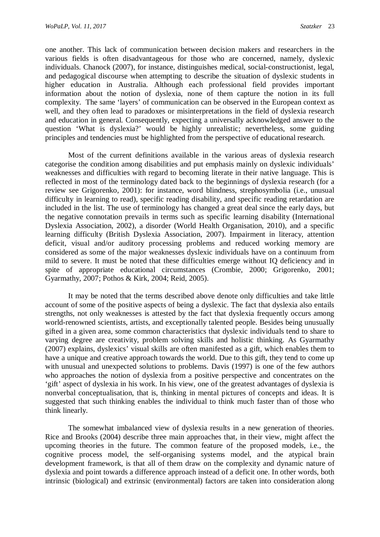one another. This lack of communication between decision makers and researchers in the various fields is often disadvantageous for those who are concerned, namely, dyslexic individuals. Chanock (2007), for instance, distinguishes medical, social-constructionist, legal, and pedagogical discourse when attempting to describe the situation of dyslexic students in higher education in Australia. Although each professional field provides important information about the notion of dyslexia, none of them capture the notion in its full complexity. The same 'layers' of communication can be observed in the European context as well, and they often lead to paradoxes or misinterpretations in the field of dyslexia research and education in general. Consequently, expecting a universally acknowledged answer to the question 'What is dyslexia?' would be highly unrealistic; nevertheless, some guiding principles and tendencies must be highlighted from the perspective of educational research.

Most of the current definitions available in the various areas of dyslexia research categorise the condition among disabilities and put emphasis mainly on dyslexic individuals' weaknesses and difficulties with regard to becoming literate in their native language. This is reflected in most of the terminology dated back to the beginnings of dyslexia research (for a review see Grigorenko, 2001): for instance, word blindness, strephosymbolia (i.e., unusual difficulty in learning to read), specific reading disability, and specific reading retardation are included in the list. The use of terminology has changed a great deal since the early days, but the negative connotation prevails in terms such as specific learning disability (International Dyslexia Association, 2002), a disorder (World Health Organisation, 2010), and a specific learning difficulty (British Dyslexia Association, 2007). Impairment in literacy, attention deficit, visual and/or auditory processing problems and reduced working memory are considered as some of the major weaknesses dyslexic individuals have on a continuum from mild to severe. It must be noted that these difficulties emerge without IQ deficiency and in spite of appropriate educational circumstances (Crombie, 2000; Grigorenko, 2001; Gyarmathy, 2007; Pothos & Kirk, 2004; Reid, 2005).

It may be noted that the terms described above denote only difficulties and take little account of some of the positive aspects of being a dyslexic. The fact that dyslexia also entails strengths, not only weaknesses is attested by the fact that dyslexia frequently occurs among world-renowned scientists, artists, and exceptionally talented people. Besides being unusually gifted in a given area, some common characteristics that dyslexic individuals tend to share to varying degree are creativity, problem solving skills and holistic thinking. As Gyarmathy (2007) explains, dyslexics' visual skills are often manifested as a gift, which enables them to have a unique and creative approach towards the world. Due to this gift, they tend to come up with unusual and unexpected solutions to problems. Davis (1997) is one of the few authors who approaches the notion of dyslexia from a positive perspective and concentrates on the 'gift' aspect of dyslexia in his work. In his view, one of the greatest advantages of dyslexia is nonverbal conceptualisation, that is, thinking in mental pictures of concepts and ideas. It is suggested that such thinking enables the individual to think much faster than of those who think linearly.

The somewhat imbalanced view of dyslexia results in a new generation of theories. Rice and Brooks (2004) describe three main approaches that, in their view, might affect the upcoming theories in the future. The common feature of the proposed models, i.e., the cognitive process model, the self-organising systems model, and the atypical brain development framework, is that all of them draw on the complexity and dynamic nature of dyslexia and point towards a difference approach instead of a deficit one. In other words, both intrinsic (biological) and extrinsic (environmental) factors are taken into consideration along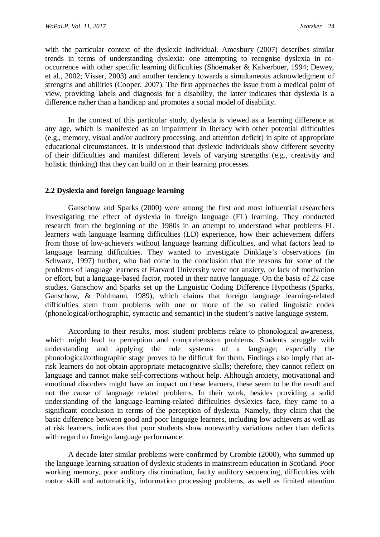with the particular context of the dyslexic individual. Amesbury (2007) describes similar trends in terms of understanding dyslexia: one attempting to recognise dyslexia in cooccurrence with other specific learning difficulties (Shoemaker & Kalverboer, 1994; Dewey, et al., 2002; Visser, 2003) and another tendency towards a simultaneous acknowledgment of strengths and abilities (Cooper, 2007). The first approaches the issue from a medical point of view, providing labels and diagnosis for a disability, the latter indicates that dyslexia is a difference rather than a handicap and promotes a social model of disability.

In the context of this particular study, dyslexia is viewed as a learning difference at any age, which is manifested as an impairment in literacy with other potential difficulties (e.g., memory, visual and/or auditory processing, and attention deficit) in spite of appropriate educational circumstances. It is understood that dyslexic individuals show different severity of their difficulties and manifest different levels of varying strengths (e.g., creativity and holistic thinking) that they can build on in their learning processes.

#### **2.2 Dyslexia and foreign language learning**

Ganschow and Sparks (2000) were among the first and most influential researchers investigating the effect of dyslexia in foreign language (FL) learning. They conducted research from the beginning of the 1980s in an attempt to understand what problems FL learners with language learning difficulties (LD) experience, how their achievement differs from those of low-achievers without language learning difficulties, and what factors lead to language learning difficulties. They wanted to investigate Dinklage's observations (in Schwarz, 1997) further, who had come to the conclusion that the reasons for some of the problems of language learners at Harvard University were not anxiety, or lack of motivation or effort, but a language-based factor, rooted in their native language. On the basis of 22 case studies, Ganschow and Sparks set up the Linguistic Coding Difference Hypothesis (Sparks, Ganschow, & Pohlmann, 1989), which claims that foreign language learning-related difficulties stem from problems with one or more of the so called linguistic codes (phonological/orthographic, syntactic and semantic) in the student's native language system.

According to their results, most student problems relate to phonological awareness, which might lead to perception and comprehension problems. Students struggle with understanding and applying the rule systems of a language; especially the phonological/orthographic stage proves to be difficult for them. Findings also imply that atrisk learners do not obtain appropriate metacognitive skills; therefore, they cannot reflect on language and cannot make self-corrections without help. Although anxiety, motivational and emotional disorders might have an impact on these learners, these seem to be the result and not the cause of language related problems. In their work, besides providing a solid understanding of the language-learning-related difficulties dyslexics face, they came to a significant conclusion in terms of the perception of dyslexia. Namely, they claim that the basic difference between good and poor language learners, including low achievers as well as at risk learners, indicates that poor students show noteworthy variations rather than deficits with regard to foreign language performance.

A decade later similar problems were confirmed by Crombie (2000), who summed up the language learning situation of dyslexic students in mainstream education in Scotland. Poor working memory, poor auditory discrimination, faulty auditory sequencing, difficulties with motor skill and automaticity, information processing problems, as well as limited attention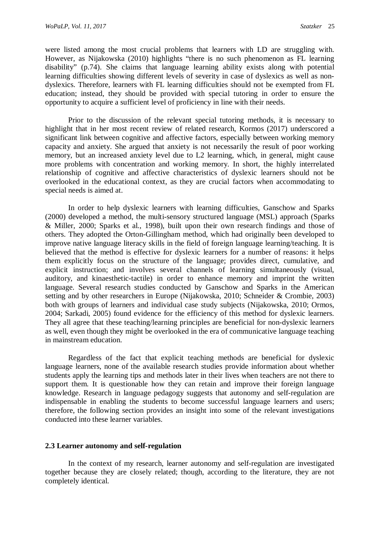were listed among the most crucial problems that learners with LD are struggling with. However, as Nijakowska (2010) highlights "there is no such phenomenon as FL learning disability" (p.74). She claims that language learning ability exists along with potential learning difficulties showing different levels of severity in case of dyslexics as well as nondyslexics. Therefore, learners with FL learning difficulties should not be exempted from FL education; instead, they should be provided with special tutoring in order to ensure the opportunity to acquire a sufficient level of proficiency in line with their needs.

Prior to the discussion of the relevant special tutoring methods, it is necessary to highlight that in her most recent review of related research, Kormos (2017) underscored a significant link between cognitive and affective factors, especially between working memory capacity and anxiety. She argued that anxiety is not necessarily the result of poor working memory, but an increased anxiety level due to L2 learning, which, in general, might cause more problems with concentration and working memory. In short, the highly interrelated relationship of cognitive and affective characteristics of dyslexic learners should not be overlooked in the educational context, as they are crucial factors when accommodating to special needs is aimed at.

In order to help dyslexic learners with learning difficulties, Ganschow and Sparks (2000) developed a method, the multi-sensory structured language (MSL) approach (Sparks & Miller, 2000; Sparks et al., 1998), built upon their own research findings and those of others. They adopted the Orton-Gillingham method, which had originally been developed to improve native language literacy skills in the field of foreign language learning/teaching. It is believed that the method is effective for dyslexic learners for a number of reasons: it helps them explicitly focus on the structure of the language; provides direct, cumulative, and explicit instruction; and involves several channels of learning simultaneously (visual, auditory, and kinaesthetic-tactile) in order to enhance memory and imprint the written language. Several research studies conducted by Ganschow and Sparks in the American setting and by other researchers in Europe (Nijakowska, 2010; Schneider & Crombie, 2003) both with groups of learners and individual case study subjects (Nijakowska, 2010; Ormos, 2004; Sarkadi, 2005) found evidence for the efficiency of this method for dyslexic learners. They all agree that these teaching/learning principles are beneficial for non-dyslexic learners as well, even though they might be overlooked in the era of communicative language teaching in mainstream education.

Regardless of the fact that explicit teaching methods are beneficial for dyslexic language learners, none of the available research studies provide information about whether students apply the learning tips and methods later in their lives when teachers are not there to support them. It is questionable how they can retain and improve their foreign language knowledge. Research in language pedagogy suggests that autonomy and self-regulation are indispensable in enabling the students to become successful language learners and users; therefore, the following section provides an insight into some of the relevant investigations conducted into these learner variables.

#### **2.3 Learner autonomy and self-regulation**

In the context of my research, learner autonomy and self-regulation are investigated together because they are closely related; though, according to the literature, they are not completely identical.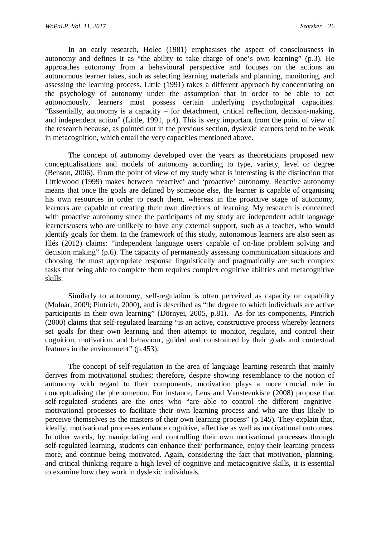In an early research, Holec (1981) emphasises the aspect of consciousness in autonomy and defines it as "the ability to take charge of one's own learning" (p.3). He approaches autonomy from a behavioural perspective and focuses on the actions an autonomous learner takes, such as selecting learning materials and planning, monitoring, and assessing the learning process. Little (1991) takes a different approach by concentrating on the psychology of autonomy under the assumption that in order to be able to act autonomously, learners must possess certain underlying psychological capacities. "Essentially, autonomy is a capacity – for detachment, critical reflection, decision-making, and independent action" (Little, 1991, p.4). This is very important from the point of view of the research because, as pointed out in the previous section, dyslexic learners tend to be weak in metacognition, which entail the very capacities mentioned above.

The concept of autonomy developed over the years as theoreticians proposed new conceptualisations and models of autonomy according to type, variety, level or degree (Benson, 2006). From the point of view of my study what is interesting is the distinction that Littlewood (1999) makes between 'reactive' and 'proactive' autonomy. Reactive autonomy means that once the goals are defined by someone else, the learner is capable of organising his own resources in order to reach them, whereas in the proactive stage of autonomy, learners are capable of creating their own directions of learning. My research is concerned with proactive autonomy since the participants of my study are independent adult language learners/users who are unlikely to have any external support, such as a teacher, who would identify goals for them. In the framework of this study, autonomous learners are also seen as Illés (2012) claims: "independent language users capable of on-line problem solving and decision making" (p.6). The capacity of permanently assessing communication situations and choosing the most appropriate response linguistically and pragmatically are such complex tasks that being able to complete them requires complex cognitive abilities and metacognitive skills.

Similarly to autonomy, self-regulation is often perceived as capacity or capability (Molnár, 2009; Pintrich, 2000), and is described as "the degree to which individuals are active participants in their own learning" (Dörnyei, 2005, p.81). As for its components, Pintrich (2000) claims that self-regulated learning "is an active, constructive process whereby learners set goals for their own learning and then attempt to monitor, regulate, and control their cognition, motivation, and behaviour, guided and constrained by their goals and contextual features in the environment" (p.453).

The concept of self-regulation in the area of language learning research that mainly derives from motivational studies; therefore, despite showing resemblance to the notion of autonomy with regard to their components, motivation plays a more crucial role in conceptualising the phenomenon. For instance, Lens and Vansteenkiste (2008) propose that self-regulated students are the ones who "are able to control the different cognitivemotivational processes to facilitate their own learning process and who are thus likely to perceive themselves as the masters of their own learning process" (p.145). They explain that, ideally, motivational processes enhance cognitive, affective as well as motivational outcomes. In other words, by manipulating and controlling their own motivational processes through self-regulated learning, students can enhance their performance, enjoy their learning process more, and continue being motivated. Again, considering the fact that motivation, planning, and critical thinking require a high level of cognitive and metacognitive skills, it is essential to examine how they work in dyslexic individuals.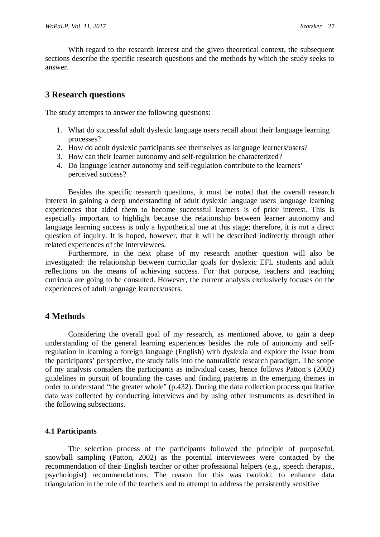With regard to the research interest and the given theoretical context, the subsequent sections describe the specific research questions and the methods by which the study seeks to answer.

## **3 Research questions**

The study attempts to answer the following questions:

- 1. What do successful adult dyslexic language users recall about their language learning processes?
- 2. How do adult dyslexic participants see themselves as language learners/users?
- 3. How can their learner autonomy and self-regulation be characterized?
- 4. Do language learner autonomy and self-regulation contribute to the learners' perceived success?

Besides the specific research questions, it must be noted that the overall research interest in gaining a deep understanding of adult dyslexic language users language learning experiences that aided them to become successful learners is of prior interest. This is especially important to highlight because the relationship between learner autonomy and language learning success is only a hypothetical one at this stage; therefore, it is not a direct question of inquiry. It is hoped, however, that it will be described indirectly through other related experiences of the interviewees.

Furthermore, in the next phase of my research another question will also be investigated: the relationship between curricular goals for dyslexic EFL students and adult reflections on the means of achieving success. For that purpose, teachers and teaching curricula are going to be consulted. However, the current analysis exclusively focuses on the experiences of adult language learners/users.

### **4 Methods**

Considering the overall goal of my research, as mentioned above, to gain a deep understanding of the general learning experiences besides the role of autonomy and selfregulation in learning a foreign language (English) with dyslexia and explore the issue from the participants' perspective, the study falls into the naturalistic research paradigm. The scope of my analysis considers the participants as individual cases, hence follows Patton's (2002) guidelines in pursuit of bounding the cases and finding patterns in the emerging themes in order to understand "the greater whole" (p.432). During the data collection process qualitative data was collected by conducting interviews and by using other instruments as described in the following subsections.

#### **4.1 Participants**

The selection process of the participants followed the principle of purposeful, snowball sampling (Patton, 2002) as the potential interviewees were contacted by the recommendation of their English teacher or other professional helpers (e.g., speech therapist, psychologist) recommendations. The reason for this was twofold: to enhance data triangulation in the role of the teachers and to attempt to address the persistently sensitive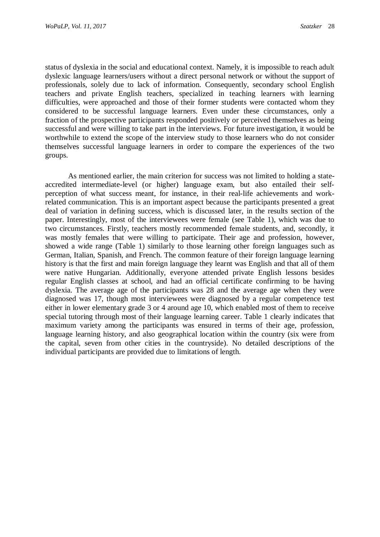status of dyslexia in the social and educational context. Namely, it is impossible to reach adult dyslexic language learners/users without a direct personal network or without the support of professionals, solely due to lack of information. Consequently, secondary school English teachers and private English teachers, specialized in teaching learners with learning difficulties, were approached and those of their former students were contacted whom they considered to be successful language learners. Even under these circumstances, only a fraction of the prospective participants responded positively or perceived themselves as being successful and were willing to take part in the interviews. For future investigation, it would be worthwhile to extend the scope of the interview study to those learners who do not consider themselves successful language learners in order to compare the experiences of the two groups.

As mentioned earlier, the main criterion for success was not limited to holding a stateaccredited intermediate-level (or higher) language exam, but also entailed their selfperception of what success meant, for instance, in their real-life achievements and workrelated communication. This is an important aspect because the participants presented a great deal of variation in defining success, which is discussed later, in the results section of the paper. Interestingly, most of the interviewees were female (see Table 1), which was due to two circumstances. Firstly, teachers mostly recommended female students, and, secondly, it was mostly females that were willing to participate. Their age and profession, however, showed a wide range (Table 1) similarly to those learning other foreign languages such as German, Italian, Spanish, and French. The common feature of their foreign language learning history is that the first and main foreign language they learnt was English and that all of them were native Hungarian. Additionally, everyone attended private English lessons besides regular English classes at school, and had an official certificate confirming to be having dyslexia. The average age of the participants was 28 and the average age when they were diagnosed was 17, though most interviewees were diagnosed by a regular competence test either in lower elementary grade 3 or 4 around age 10, which enabled most of them to receive special tutoring through most of their language learning career. Table 1 clearly indicates that maximum variety among the participants was ensured in terms of their age, profession, language learning history, and also geographical location within the country (six were from the capital, seven from other cities in the countryside). No detailed descriptions of the individual participants are provided due to limitations of length.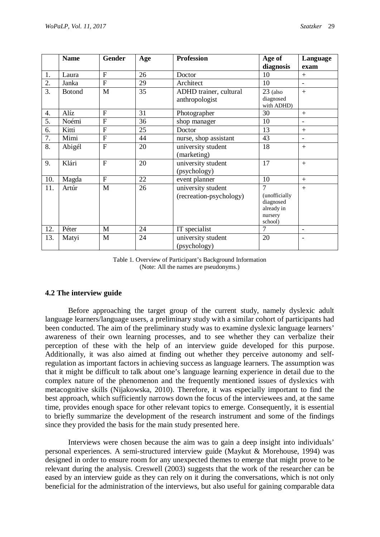|                  | <b>Name</b>   | Gender         | Age | <b>Profession</b>       | Age of                  | Language                 |
|------------------|---------------|----------------|-----|-------------------------|-------------------------|--------------------------|
|                  |               |                |     |                         | diagnosis               | exam                     |
| 1.               | Laura         | $\overline{F}$ | 26  | Doctor                  | 10                      | $+$                      |
| 2.               | Janka         | $\overline{F}$ | 29  | Architect               | 10                      | $\overline{\phantom{0}}$ |
| $\overline{3}$ . | <b>Botond</b> | M              | 35  | ADHD trainer, cultural  | $23$ (also              | $+$                      |
|                  |               |                |     | anthropologist          | diagnosed<br>with ADHD) |                          |
| 4.               | Alíz          | F              | 31  | Photographer            | 30                      | $+$                      |
| 5.               | Noémi         | $\overline{F}$ | 36  | shop manager            | 10                      | $\overline{\phantom{m}}$ |
| 6.               | Kitti         | $\overline{F}$ | 25  | Doctor                  | 13                      | $+$                      |
| 7.               | Mimi          | $\overline{F}$ | 44  | nurse, shop assistant   | 43                      | $\blacksquare$           |
| 8.               | Abigél        | $\overline{F}$ | 20  | university student      | 18                      | $+$                      |
|                  |               |                |     | (marketing)             |                         |                          |
| 9.               | Klári         | $\overline{F}$ | 20  | university student      | 17                      | $+$                      |
|                  |               |                |     | (psychology)            |                         |                          |
| 10.              | Magda         | $\overline{F}$ | 22  | event planner           | 10                      | $+$                      |
| 11.              | Artúr         | M              | 26  | university student      | $\overline{7}$          | $+$                      |
|                  |               |                |     | (recreation-psychology) | (unofficially)          |                          |
|                  |               |                |     |                         | diagnosed               |                          |
|                  |               |                |     |                         | already in<br>nursery   |                          |
|                  |               |                |     |                         | school)                 |                          |
| 12.              | Péter         | M              | 24  | IT specialist           | $\overline{7}$          | $\blacksquare$           |
| 13.              | Matyi         | M              | 24  | university student      | 20                      | $\overline{\phantom{0}}$ |
|                  |               |                |     | (psychology)            |                         |                          |

#### Table 1. Overview of Participant's Background Information (Note: All the names are pseudonyms.)

#### **4.2 The interview guide**

Before approaching the target group of the current study, namely dyslexic adult language learners/language users, a preliminary study with a similar cohort of participants had been conducted. The aim of the preliminary study was to examine dyslexic language learners' awareness of their own learning processes, and to see whether they can verbalize their perception of these with the help of an interview guide developed for this purpose. Additionally, it was also aimed at finding out whether they perceive autonomy and selfregulation as important factors in achieving success as language learners. The assumption was that it might be difficult to talk about one's language learning experience in detail due to the complex nature of the phenomenon and the frequently mentioned issues of dyslexics with metacognitive skills (Nijakowska, 2010). Therefore, it was especially important to find the best approach, which sufficiently narrows down the focus of the interviewees and, at the same time, provides enough space for other relevant topics to emerge. Consequently, it is essential to briefly summarize the development of the research instrument and some of the findings since they provided the basis for the main study presented here.

Interviews were chosen because the aim was to gain a deep insight into individuals' personal experiences. A semi-structured interview guide (Maykut & Morehouse, 1994) was designed in order to ensure room for any unexpected themes to emerge that might prove to be relevant during the analysis. Creswell (2003) suggests that the work of the researcher can be eased by an interview guide as they can rely on it during the conversations, which is not only beneficial for the administration of the interviews, but also useful for gaining comparable data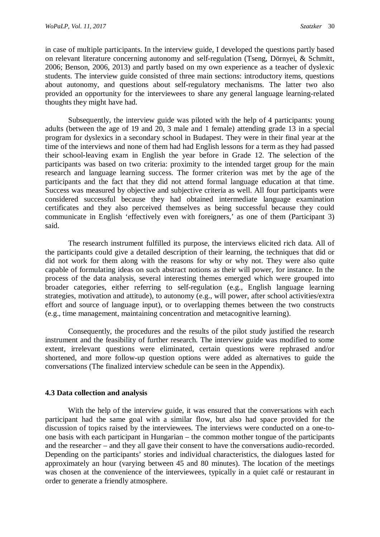in case of multiple participants. In the interview guide, I developed the questions partly based on relevant literature concerning autonomy and self-regulation (Tseng, Dörnyei, & Schmitt, 2006; Benson, 2006, 2013) and partly based on my own experience as a teacher of dyslexic students. The interview guide consisted of three main sections: introductory items, questions about autonomy, and questions about self-regulatory mechanisms. The latter two also provided an opportunity for the interviewees to share any general language learning-related thoughts they might have had.

Subsequently, the interview guide was piloted with the help of 4 participants: young adults (between the age of 19 and 20, 3 male and 1 female) attending grade 13 in a special program for dyslexics in a secondary school in Budapest. They were in their final year at the time of the interviews and none of them had had English lessons for a term as they had passed their school-leaving exam in English the year before in Grade 12. The selection of the participants was based on two criteria: proximity to the intended target group for the main research and language learning success. The former criterion was met by the age of the participants and the fact that they did not attend formal language education at that time. Success was measured by objective and subjective criteria as well. All four participants were considered successful because they had obtained intermediate language examination certificates and they also perceived themselves as being successful because they could communicate in English 'effectively even with foreigners,' as one of them (Participant 3) said.

The research instrument fulfilled its purpose, the interviews elicited rich data. All of the participants could give a detailed description of their learning, the techniques that did or did not work for them along with the reasons for why or why not. They were also quite capable of formulating ideas on such abstract notions as their will power, for instance. In the process of the data analysis, several interesting themes emerged which were grouped into broader categories, either referring to self-regulation (e.g., English language learning strategies, motivation and attitude), to autonomy (e.g., will power, after school activities/extra effort and source of language input), or to overlapping themes between the two constructs (e.g., time management, maintaining concentration and metacognitive learning).

Consequently, the procedures and the results of the pilot study justified the research instrument and the feasibility of further research. The interview guide was modified to some extent, irrelevant questions were eliminated, certain questions were rephrased and/or shortened, and more follow-up question options were added as alternatives to guide the conversations (The finalized interview schedule can be seen in the Appendix).

#### **4.3 Data collection and analysis**

With the help of the interview guide, it was ensured that the conversations with each participant had the same goal with a similar flow, but also had space provided for the discussion of topics raised by the interviewees. The interviews were conducted on a one-toone basis with each participant in Hungarian – the common mother tongue of the participants and the researcher – and they all gave their consent to have the conversations audio-recorded. Depending on the participants' stories and individual characteristics, the dialogues lasted for approximately an hour (varying between 45 and 80 minutes). The location of the meetings was chosen at the convenience of the interviewees, typically in a quiet café or restaurant in order to generate a friendly atmosphere.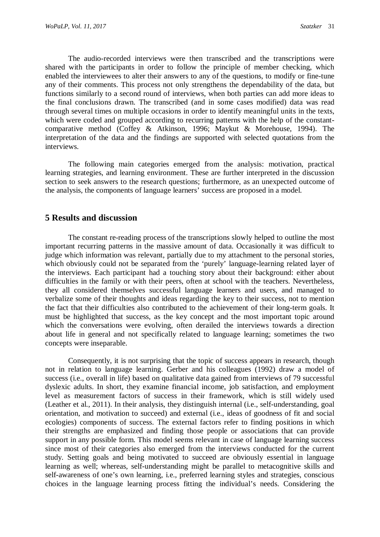The audio-recorded interviews were then transcribed and the transcriptions were shared with the participants in order to follow the principle of member checking, which enabled the interviewees to alter their answers to any of the questions, to modify or fine-tune any of their comments. This process not only strengthens the dependability of the data, but functions similarly to a second round of interviews, when both parties can add more ideas to the final conclusions drawn. The transcribed (and in some cases modified) data was read through several times on multiple occasions in order to identify meaningful units in the texts, which were coded and grouped according to recurring patterns with the help of the constantcomparative method (Coffey & Atkinson, 1996; Maykut & Morehouse, 1994). The interpretation of the data and the findings are supported with selected quotations from the interviews.

The following main categories emerged from the analysis: motivation, practical learning strategies, and learning environment. These are further interpreted in the discussion section to seek answers to the research questions; furthermore, as an unexpected outcome of the analysis, the components of language learners' success are proposed in a model.

### **5 Results and discussion**

The constant re-reading process of the transcriptions slowly helped to outline the most important recurring patterns in the massive amount of data. Occasionally it was difficult to judge which information was relevant, partially due to my attachment to the personal stories, which obviously could not be separated from the 'purely' language-learning related layer of the interviews. Each participant had a touching story about their background: either about difficulties in the family or with their peers, often at school with the teachers. Nevertheless, they all considered themselves successful language learners and users, and managed to verbalize some of their thoughts and ideas regarding the key to their success, not to mention the fact that their difficulties also contributed to the achievement of their long-term goals. It must be highlighted that success, as the key concept and the most important topic around which the conversations were evolving, often derailed the interviews towards a direction about life in general and not specifically related to language learning; sometimes the two concepts were inseparable.

Consequently, it is not surprising that the topic of success appears in research, though not in relation to language learning. Gerber and his colleagues (1992) draw a model of success (i.e., overall in life) based on qualitative data gained from interviews of 79 successful dyslexic adults. In short, they examine financial income, job satisfaction, and employment level as measurement factors of success in their framework, which is still widely used (Leather et al., 2011). In their analysis, they distinguish internal (i.e., self-understanding, goal orientation, and motivation to succeed) and external (i.e., ideas of goodness of fit and social ecologies) components of success. The external factors refer to finding positions in which their strengths are emphasized and finding those people or associations that can provide support in any possible form. This model seems relevant in case of language learning success since most of their categories also emerged from the interviews conducted for the current study. Setting goals and being motivated to succeed are obviously essential in language learning as well; whereas, self-understanding might be parallel to metacognitive skills and self-awareness of one's own learning, i.e., preferred learning styles and strategies, conscious choices in the language learning process fitting the individual's needs. Considering the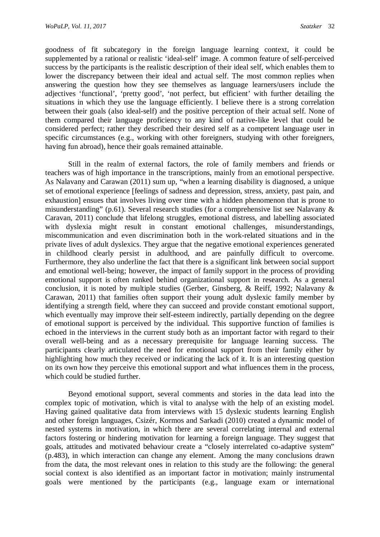goodness of fit subcategory in the foreign language learning context, it could be supplemented by a rational or realistic 'ideal-self' image. A common feature of self-perceived success by the participants is the realistic description of their ideal self, which enables them to lower the discrepancy between their ideal and actual self. The most common replies when answering the question how they see themselves as language learners/users include the adjectives 'functional', 'pretty good', 'not perfect, but efficient' with further detailing the situations in which they use the language efficiently. I believe there is a strong correlation between their goals (also ideal-self) and the positive perception of their actual self. None of them compared their language proficiency to any kind of native-like level that could be considered perfect; rather they described their desired self as a competent language user in specific circumstances (e.g., working with other foreigners, studying with other foreigners, having fun abroad), hence their goals remained attainable.

Still in the realm of external factors, the role of family members and friends or teachers was of high importance in the transcriptions, mainly from an emotional perspective. As Nalavany and Carawan (2011) sum up, "when a learning disability is diagnosed, a unique set of emotional experience [feelings of sadness and depression, stress, anxiety, past pain, and exhaustion] ensues that involves living over time with a hidden phenomenon that is prone to misunderstanding" (p.61). Several research studies (for a comprehensive list see Nalavany & Caravan, 2011) conclude that lifelong struggles, emotional distress, and labelling associated with dyslexia might result in constant emotional challenges, misunderstandings, miscommunication and even discrimination both in the work-related situations and in the private lives of adult dyslexics. They argue that the negative emotional experiences generated in childhood clearly persist in adulthood, and are painfully difficult to overcome. Furthermore, they also underline the fact that there is a significant link between social support and emotional well-being; however, the impact of family support in the process of providing emotional support is often ranked behind organizational support in research. As a general conclusion, it is noted by multiple studies (Gerber, Ginsberg, & Reiff, 1992; Nalavany & Carawan, 2011) that families often support their young adult dyslexic family member by identifying a strength field, where they can succeed and provide constant emotional support, which eventually may improve their self-esteem indirectly, partially depending on the degree of emotional support is perceived by the individual. This supportive function of families is echoed in the interviews in the current study both as an important factor with regard to their overall well-being and as a necessary prerequisite for language learning success. The participants clearly articulated the need for emotional support from their family either by highlighting how much they received or indicating the lack of it. It is an interesting question on its own how they perceive this emotional support and what influences them in the process, which could be studied further.

Beyond emotional support, several comments and stories in the data lead into the complex topic of motivation, which is vital to analyse with the help of an existing model. Having gained qualitative data from interviews with 15 dyslexic students learning English and other foreign languages, Csizér, Kormos and Sarkadi (2010) created a dynamic model of nested systems in motivation, in which there are several correlating internal and external factors fostering or hindering motivation for learning a foreign language. They suggest that goals, attitudes and motivated behaviour create a "closely interrelated co-adaptive system" (p.483), in which interaction can change any element. Among the many conclusions drawn from the data, the most relevant ones in relation to this study are the following: the general social context is also identified as an important factor in motivation; mainly instrumental goals were mentioned by the participants (e.g., language exam or international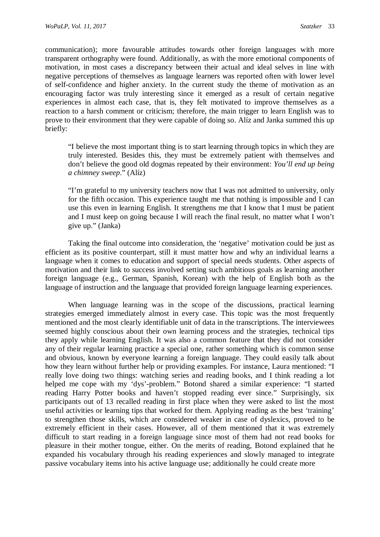communication); more favourable attitudes towards other foreign languages with more transparent orthography were found. Additionally, as with the more emotional components of motivation, in most cases a discrepancy between their actual and ideal selves in line with negative perceptions of themselves as language learners was reported often with lower level of self-confidence and higher anxiety. In the current study the theme of motivation as an encouraging factor was truly interesting since it emerged as a result of certain negative experiences in almost each case, that is, they felt motivated to improve themselves as a reaction to a harsh comment or criticism; therefore, the main trigger to learn English was to prove to their environment that they were capable of doing so. Alíz and Janka summed this up briefly:

"I believe the most important thing is to start learning through topics in which they are truly interested. Besides this, they must be extremely patient with themselves and don't believe the good old dogmas repeated by their environment: *You'll end up being a chimney sweep*." (Alíz)

"I'm grateful to my university teachers now that I was not admitted to university, only for the fifth occasion. This experience taught me that nothing is impossible and I can use this even in learning English. It strengthens me that I know that I must be patient and I must keep on going because I will reach the final result, no matter what I won't give up." (Janka)

Taking the final outcome into consideration, the 'negative' motivation could be just as efficient as its positive counterpart, still it must matter how and why an individual learns a language when it comes to education and support of special needs students. Other aspects of motivation and their link to success involved setting such ambitious goals as learning another foreign language (e.g., German, Spanish, Korean) with the help of English both as the language of instruction and the language that provided foreign language learning experiences.

When language learning was in the scope of the discussions, practical learning strategies emerged immediately almost in every case. This topic was the most frequently mentioned and the most clearly identifiable unit of data in the transcriptions. The interviewees seemed highly conscious about their own learning process and the strategies, technical tips they apply while learning English. It was also a common feature that they did not consider any of their regular learning practice a special one, rather something which is common sense and obvious, known by everyone learning a foreign language. They could easily talk about how they learn without further help or providing examples. For instance, Laura mentioned: "I really love doing two things: watching series and reading books, and I think reading a lot helped me cope with my 'dys'-problem." Botond shared a similar experience: "I started reading Harry Potter books and haven't stopped reading ever since." Surprisingly, six participants out of 13 recalled reading in first place when they were asked to list the most useful activities or learning tips that worked for them. Applying reading as the best 'training' to strengthen those skills, which are considered weaker in case of dyslexics, proved to be extremely efficient in their cases. However, all of them mentioned that it was extremely difficult to start reading in a foreign language since most of them had not read books for pleasure in their mother tongue, either. On the merits of reading, Botond explained that he expanded his vocabulary through his reading experiences and slowly managed to integrate passive vocabulary items into his active language use; additionally he could create more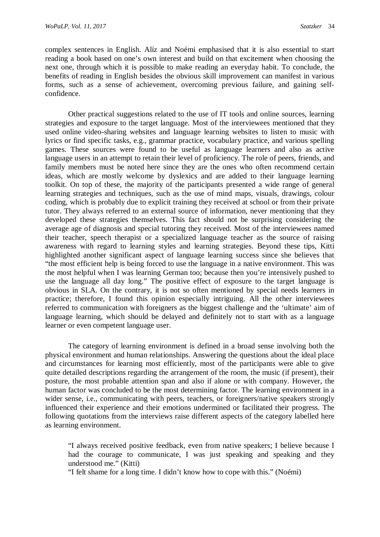complex sentences in English. Alíz and Noémi emphasised that it is also essential to start reading a book based on one's own interest and build on that excitement when choosing the next one, through which it is possible to make reading an everyday habit. To conclude, the benefits of reading in English besides the obvious skill improvement can manifest in various forms, such as a sense of achievement, overcoming previous failure, and gaining selfconfidence.

Other practical suggestions related to the use of IT tools and online sources, learning strategies and exposure to the target language. Most of the interviewees mentioned that they used online video-sharing websites and language learning websites to listen to music with lyrics or find specific tasks, e.g., grammar practice, vocabulary practice, and various spelling games. These sources were found to be useful as language learners and also as active language users in an attempt to retain their level of proficiency. The role of peers, friends, and family members must be noted here since they are the ones who often recommend certain ideas, which are mostly welcome by dyslexics and are added to their language learning toolkit. On top of these, the majority of the participants presented a wide range of general learning strategies and techniques, such as the use of mind maps, visuals, drawings, colour coding, which is probably due to explicit training they received at school or from their private tutor. They always referred to an external source of information, never mentioning that they developed these strategies themselves. This fact should not be surprising considering the average age of diagnosis and special tutoring they received. Most of the interviewees named their teacher, speech therapist or a specialized language teacher as the source of raising awareness with regard to learning styles and learning strategies. Beyond these tips, Kitti highlighted another significant aspect of language learning success since she believes that "the most efficient help is being forced to use the language in a native environment. This was the most helpful when I was learning German too; because then you're intensively pushed to use the language all day long." The positive effect of exposure to the target language is obvious in SLA. On the contrary, it is not so often mentioned by special needs learners in practice; therefore, I found this opinion especially intriguing. All the other interviewees referred to communication with foreigners as the biggest challenge and the 'ultimate' aim of language learning, which should be delayed and definitely not to start with as a language learner or even competent language user.

The category of learning environment is defined in a broad sense involving both the physical environment and human relationships. Answering the questions about the ideal place and circumstances for learning most efficiently, most of the participants were able to give quite detailed descriptions regarding the arrangement of the room, the music (if present), their posture, the most probable attention span and also if alone or with company. However, the human factor was concluded to be the most determining factor. The learning environment in a wider sense, i.e., communicating with peers, teachers, or foreigners/native speakers strongly influenced their experience and their emotions undermined or facilitated their progress. The following quotations from the interviews raise different aspects of the category labelled here as learning environment.

"I always received positive feedback, even from native speakers; I believe because I had the courage to communicate, I was just speaking and speaking and they understood me." (Kitti)

"I felt shame for a long time. I didn't know how to cope with this." (Noémi)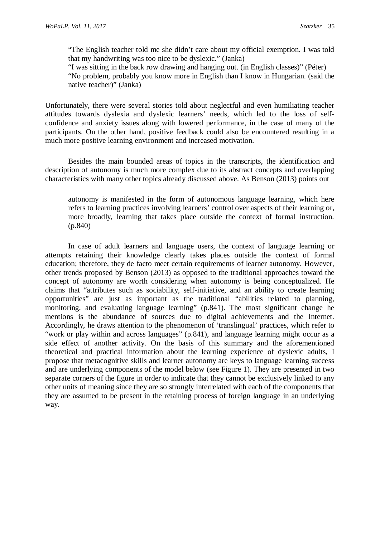"The English teacher told me she didn't care about my official exemption. I was told that my handwriting was too nice to be dyslexic." (Janka)

"I was sitting in the back row drawing and hanging out. (in English classes)" (Péter) "No problem, probably you know more in English than I know in Hungarian. (said the native teacher)" (Janka)

Unfortunately, there were several stories told about neglectful and even humiliating teacher attitudes towards dyslexia and dyslexic learners' needs, which led to the loss of selfconfidence and anxiety issues along with lowered performance, in the case of many of the participants. On the other hand, positive feedback could also be encountered resulting in a much more positive learning environment and increased motivation.

Besides the main bounded areas of topics in the transcripts, the identification and description of autonomy is much more complex due to its abstract concepts and overlapping characteristics with many other topics already discussed above. As Benson (2013) points out

autonomy is manifested in the form of autonomous language learning, which here refers to learning practices involving learners' control over aspects of their learning or, more broadly, learning that takes place outside the context of formal instruction. (p.840)

In case of adult learners and language users, the context of language learning or attempts retaining their knowledge clearly takes places outside the context of formal education; therefore, they de facto meet certain requirements of learner autonomy. However, other trends proposed by Benson (2013) as opposed to the traditional approaches toward the concept of autonomy are worth considering when autonomy is being conceptualized. He claims that "attributes such as sociability, self-initiative, and an ability to create learning opportunities" are just as important as the traditional "abilities related to planning, monitoring, and evaluating language learning" (p.841). The most significant change he mentions is the abundance of sources due to digital achievements and the Internet. Accordingly, he draws attention to the phenomenon of 'translingual' practices, which refer to "work or play within and across languages" (p.841), and language learning might occur as a side effect of another activity. On the basis of this summary and the aforementioned theoretical and practical information about the learning experience of dyslexic adults, I propose that metacognitive skills and learner autonomy are keys to language learning success and are underlying components of the model below (see Figure 1). They are presented in two separate corners of the figure in order to indicate that they cannot be exclusively linked to any other units of meaning since they are so strongly interrelated with each of the components that they are assumed to be present in the retaining process of foreign language in an underlying way.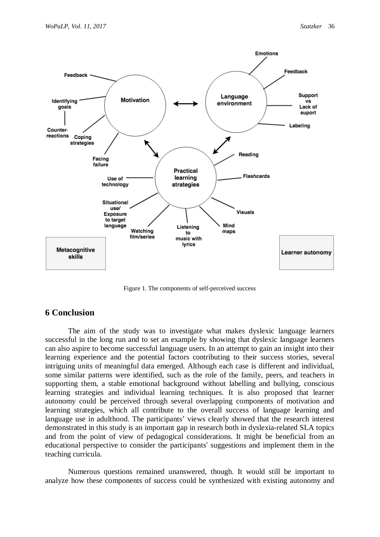

Figure 1. The components of self-perceived success

# **6 Conclusion**

The aim of the study was to investigate what makes dyslexic language learners successful in the long run and to set an example by showing that dyslexic language learners can also aspire to become successful language users. In an attempt to gain an insight into their learning experience and the potential factors contributing to their success stories, several intriguing units of meaningful data emerged. Although each case is different and individual, some similar patterns were identified, such as the role of the family, peers, and teachers in supporting them, a stable emotional background without labelling and bullying, conscious learning strategies and individual learning techniques. It is also proposed that learner autonomy could be perceived through several overlapping components of motivation and learning strategies, which all contribute to the overall success of language learning and language use in adulthood. The participants' views clearly showed that the research interest demonstrated in this study is an important gap in research both in dyslexia-related SLA topics and from the point of view of pedagogical considerations. It might be beneficial from an educational perspective to consider the participants' suggestions and implement them in the teaching curricula.

Numerous questions remained unanswered, though. It would still be important to analyze how these components of success could be synthesized with existing autonomy and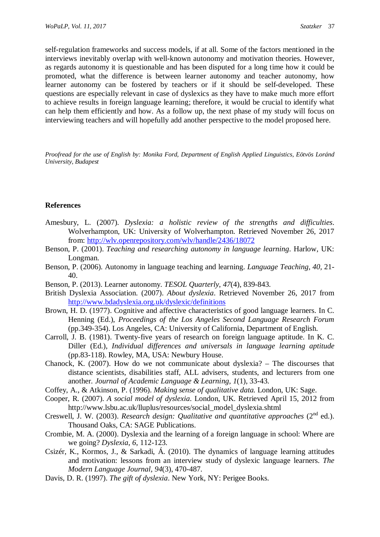self-regulation frameworks and success models, if at all. Some of the factors mentioned in the interviews inevitably overlap with well-known autonomy and motivation theories. However, as regards autonomy it is questionable and has been disputed for a long time how it could be promoted, what the difference is between learner autonomy and teacher autonomy, how learner autonomy can be fostered by teachers or if it should be self-developed. These questions are especially relevant in case of dyslexics as they have to make much more effort to achieve results in foreign language learning; therefore, it would be crucial to identify what can help them efficiently and how. As a follow up, the next phase of my study will focus on interviewing teachers and will hopefully add another perspective to the model proposed here.

*Proofread for the use of English by: Monika Ford, Department of English Applied Linguistics, Eötvös Loránd University, Budapest*

#### **References**

- Amesbury, L. (2007). *Dyslexia: a holistic review of the strengths and difficulties*. Wolverhampton, UK: University of Wolverhampton. Retrieved November 26, 2017 from: <http://wlv.openrepository.com/wlv/handle/2436/18072>
- Benson, P. (2001). *Teaching and researching autonomy in language learning*. Harlow, UK: Longman.
- Benson, P. (2006). Autonomy in language teaching and learning. *Language Teaching, 40,* 21- 40.
- Benson, P. (2013). Learner autonomy. *TESOL Quarterly*, *47*(4), 839-843.
- British Dyslexia Association. (2007). *About dyslexia*. Retrieved November 26, 2017 from <http://www.bdadyslexia.org.uk/dyslexic/definitions>
- Brown, H. D. (1977). Cognitive and affective characteristics of good language learners. In C. Henning (Ed.), *Proceedings of the Los Angeles Second Language Research Forum* (pp.349-354). Los Angeles, CA: University of California, Department of English.
- Carroll, J. B. (1981). Twenty-five years of research on foreign language aptitude. In K. C. Diller (Ed.), *Individual differences and universals in language learning aptitude* (pp.83-118). Rowley, MA, USA: Newbury House.
- Chanock, K. (2007). How do we not communicate about dyslexia? The discourses that distance scientists, disabilities staff, ALL advisers, students, and lecturers from one another*. Journal of Academic Language & Learning*, *1*(1), 33-43.
- Coffey, A., & Atkinson, P. (1996). *Making sense of qualitative data.* London, UK: Sage.
- Cooper, R. (2007). *A social model of dyslexia*. London, UK. Retrieved April 15, 2012 from http://www.lsbu.ac.uk/lluplus/resources/social\_model\_dyslexia.shtml
- Creswell, J. W. (2003). *Research design: Qualitative and quantitative approaches* (2<sup>nd</sup> ed.). Thousand Oaks, CA: SAGE Publications.
- Crombie, M. A. (2000). Dyslexia and the learning of a foreign language in school: Where are we going? *Dyslexia*, *6*, 112-123.
- Csizér, K., Kormos, J., & Sarkadi, Á. (2010). The dynamics of language learning attitudes and motivation: lessons from an interview study of dyslexic language learners. *The Modern Language Journal*, *94*(3), 470-487.
- Davis, D. R. (1997). *The gift of dyslexia*. New York, NY: Perigee Books.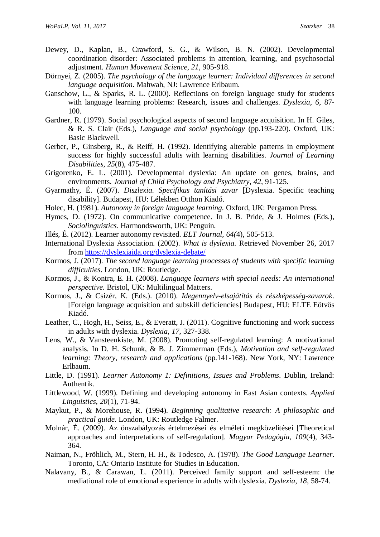- Dewey, D., Kaplan, B., Crawford, S. G., & Wilson, B. N. (2002). Developmental coordination disorder: Associated problems in attention, learning, and psychosocial adjustment. *Human Movement Science*, *21*, 905-918.
- Dörnyei, Z. (2005). *The psychology of the language learner: Individual differences in second language acquisition*. Mahwah, NJ: Lawrence Erlbaum.
- Ganschow, L., & Sparks, R. L. (2000). Reflections on foreign language study for students with language learning problems: Research, issues and challenges. *Dyslexia*, *6*, 87- 100.
- Gardner, R. (1979). Social psychological aspects of second language acquisition. In H. Giles, & R. S. Clair (Eds.), *Language and social psychology* (pp.193-220). Oxford, UK: Basic Blackwell.
- Gerber, P., Ginsberg, R., & Reiff, H. (1992). Identifying alterable patterns in employment success for highly successful adults with learning disabilities. *Journal of Learning Disabilities*, *25*(8), 475-487.
- Grigorenko, E. L. (2001). Developmental dyslexia: An update on genes, brains, and environments. *Journal of Child Psychology and Psychiatry*, *42*, 91-125.
- Gyarmathy, É. (2007). *Diszlexia. Specifikus tanítási zavar* [Dyslexia. Specific teaching disability]. Budapest, HU: Lélekben Otthon Kiadó.
- Holec, H. (1981). *Autonomy in foreign language learning.* Oxford, UK: Pergamon Press.
- Hymes, D. (1972). On communicative competence. In J. B. Pride, & J. Holmes (Eds.), *Sociolinguistics.* Harmondsworth, UK: Penguin.
- Illés, É. (2012). Learner autonomy revisited. *ELT Journal*, *64(*4), 505-513.
- International Dyslexia Association. (2002). *What is dyslexia.* Retrieved November 26, 2017 from<https://dyslexiaida.org/dyslexia-debate/>
- Kormos, J. (2017). *The second language learning processes of students with specific learning difficulties*. London, UK: Routledge.
- Kormos, J., & Kontra, E. H. (2008). *Language learners with special needs: An international perspective.* Bristol, UK: Multilingual Matters.
- Kormos, J., & Csizér, K. (Eds.). (2010). *Idegennyelv-elsajátítás és részképesség-zavarok*. [Foreign language acquisition and subskill deficiencies] Budapest, HU: ELTE Eötvös Kiadó.
- Leather, C., Hogh, H., Seiss, E., & Everatt, J. (2011). Cognitive functioning and work success in adults with dyslexia. *Dyslexia*, *17*, 327-338.
- Lens, W., & Vansteenkiste, M. (2008). Promoting self-regulated learning: A motivational analysis. In D. H. Schunk, & B. J. Zimmerman (Eds.), *Motivation and self-regulated learning: Theory, research and applications* (pp.141-168). New York, NY: Lawrence Erlbaum.
- Little, D. (1991). *Learner Autonomy 1: Definitions, Issues and Problems*. Dublin, Ireland: Authentik.
- Littlewood, W. (1999). Defining and developing autonomy in East Asian contexts. *Applied Linguistics*, *20*(1), 71-94.
- Maykut, P., & Morehouse, R. (1994). *Beginning qualitative research: A philosophic and practical guide.* London, UK: Routledge Falmer.
- Molnár, É. (2009). Az önszabályozás értelmezései és elméleti megközelítései [Theoretical approaches and interpretations of self-regulation]. *Magyar Pedagógia*, *109*(4), 343- 364.
- Naiman, N., Fröhlich, M., Stern, H. H., & Todesco, A. (1978). *The Good Language Learner*. Toronto, CA: Ontario Institute for Studies in Education.
- Nalavany, B., & Carawan, L. (2011). Perceived family support and self-esteem: the mediational role of emotional experience in adults with dyslexia. *Dyslexia*, *18*, 58-74.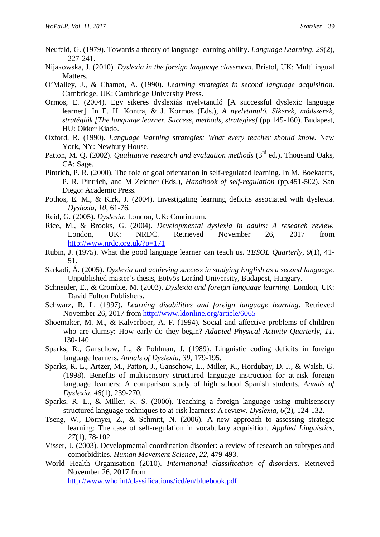- Neufeld, G. (1979). Towards a theory of language learning ability. *Language Learning*, *29*(2), 227-241.
- Nijakowska, J. (2010). *Dyslexia in the foreign language classroom*. Bristol, UK: Multilingual Matters.
- O'Malley, J., & Chamot, A. (1990). *Learning strategies in second language acquisition*. Cambridge, UK: Cambridge University Press.
- Ormos, E. (2004). Egy sikeres dyslexiás nyelvtanuló [A successful dyslexic language learner]. In E. H. Kontra, & J. Kormos (Eds.), *A nyelvtanuló. Sikerek, módszerek, stratégiák [The language learner. Success, methods, strategies]* (pp.145-160). Budapest, HU: Okker Kiadó.
- Oxford, R. (1990). *Language learning strategies: What every teacher should know*. New York, NY: Newbury House.
- Patton, M. Q. (2002). *Qualitative research and evaluation methods* (3<sup>rd</sup> ed.). Thousand Oaks, CA: Sage.
- Pintrich, P. R. (2000). The role of goal orientation in self-regulated learning. In M. Boekaerts, P. R. Pintrich, and M Zeidner (Eds.), *Handbook of self-regulation* (pp.451-502). San Diego: Academic Press.
- Pothos, E. M., & Kirk, J. (2004). Investigating learning deficits associated with dyslexia. *Dyslexia, 10,* 61-76.
- Reid, G. (2005). *Dyslexia*. London, UK: Continuum.
- Rice, M., & Brooks, G. (2004). *Developmental dyslexia in adults: A research review.* London, UK: NRDC. Retrieved November 26, 2017 from <http://www.nrdc.org.uk/?p=171>
- Rubin, J. (1975). What the good language learner can teach us. *TESOL Quarterly*, *9*(1), 41- 51.
- Sarkadi, Á. (2005). *Dyslexia and achieving success in studying English as a second language*. Unpublished master's thesis, Eötvös Loránd University, Budapest, Hungary.
- Schneider, E., & Crombie, M. (2003). *Dyslexia and foreign language learning*. London, UK: David Fulton Publishers.
- Schwarz, R. L. (1997). *Learning disabilities and foreign language learning*. Retrieved November 26, 2017 from<http://www.ldonline.org/article/6065>
- Shoemaker, M. M., & Kalverboer, A. F. (1994). Social and affective problems of children who are clumsy: How early do they begin? *Adapted Physical Activity Quarterly*, *11*, 130-140.
- Sparks, R., Ganschow, L., & Pohlman, J. (1989). Linguistic coding deficits in foreign language learners. *Annals of Dyslexia*, *39*, 179-195.
- Sparks, R. L., Artzer, M., Patton, J., Ganschow, L., Miller, K., Hordubay, D. J., & Walsh, G. (1998). Benefits of multisensory structured language instruction for at-risk foreign language learners: A comparison study of high school Spanish students. *Annals of Dyslexia*, *48*(1), 239-270.
- Sparks, R. L., & Miller, K. S. (2000). Teaching a foreign language using multisensory structured language techniques to at-risk learners: A review. *Dyslexia*, *6*(2), 124-132.
- Tseng, W., Dörnyei, Z., & Schmitt, N. (2006). A new approach to assessing strategic learning: The case of self-regulation in vocabulary acquisition*. Applied Linguistics*, *27*(1), 78-102.
- Visser, J. (2003). Developmental coordination disorder: a review of research on subtypes and comorbidities. *Human Movement Science*, *22*, 479-493.
- World Health Organisation (2010). *International classification of disorders.* Retrieved November 26, 2017 from

<http://www.who.int/classifications/icd/en/bluebook.pdf>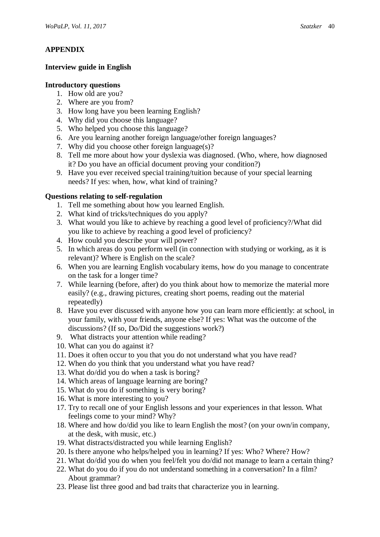### **APPENDIX**

### **Interview guide in English**

#### **Introductory questions**

- 1. How old are you?
- 2. Where are you from?
- 3. How long have you been learning English?
- 4. Why did you choose this language?
- 5. Who helped you choose this language?
- 6. Are you learning another foreign language/other foreign languages?
- 7. Why did you choose other foreign language(s)?
- 8. Tell me more about how your dyslexia was diagnosed. (Who, where, how diagnosed it? Do you have an official document proving your condition?)
- 9. Have you ever received special training/tuition because of your special learning needs? If yes: when, how, what kind of training?

### **Questions relating to self-regulation**

- 1. Tell me something about how you learned English.
- 2. What kind of tricks/techniques do you apply?
- 3. What would you like to achieve by reaching a good level of proficiency?/What did you like to achieve by reaching a good level of proficiency?
- 4. How could you describe your will power?
- 5. In which areas do you perform well (in connection with studying or working, as it is relevant)? Where is English on the scale?
- 6. When you are learning English vocabulary items, how do you manage to concentrate on the task for a longer time?
- 7. While learning (before, after) do you think about how to memorize the material more easily? (e.g., drawing pictures, creating short poems, reading out the material repeatedly)
- 8. Have you ever discussed with anyone how you can learn more efficiently: at school, in your family, with your friends, anyone else? If yes: What was the outcome of the discussions? (If so, Do/Did the suggestions work?)
- 9. What distracts your attention while reading?
- 10. What can you do against it?
- 11. Does it often occur to you that you do not understand what you have read?
- 12. When do you think that you understand what you have read?
- 13. What do/did you do when a task is boring?
- 14. Which areas of language learning are boring?
- 15. What do you do if something is very boring?
- 16. What is more interesting to you?
- 17. Try to recall one of your English lessons and your experiences in that lesson. What feelings come to your mind? Why?
- 18. Where and how do/did you like to learn English the most? (on your own/in company, at the desk, with music, etc.)
- 19. What distracts/distracted you while learning English?
- 20. Is there anyone who helps/helped you in learning? If yes: Who? Where? How?
- 21. What do/did you do when you feel/felt you do/did not manage to learn a certain thing?
- 22. What do you do if you do not understand something in a conversation? In a film? About grammar?
- 23. Please list three good and bad traits that characterize you in learning.